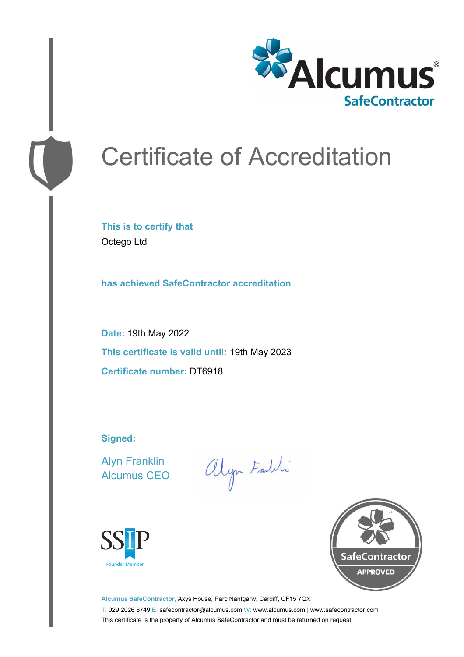

# Certificate of Accreditation

**This is to certify that** Octego Ltd

**has achieved SafeContractor accreditation**

**Date:** 19th May 2022 **This certificate is valid until:** 19th May 2023 **Certificate number:** DT6918

**Signed:**

Alyn Franklin Alcumus CEO

alyn Faith





**Alcumus SafeContractor,** Axys House, Parc Nantgarw, Cardiff, CF15 7QX T: 029 2026 6749 E: safecontractor@alcumus.com W: www.alcumus.com | www.safecontractor.com This certificate is the property of Alcumus SafeContractor and must be returned on request